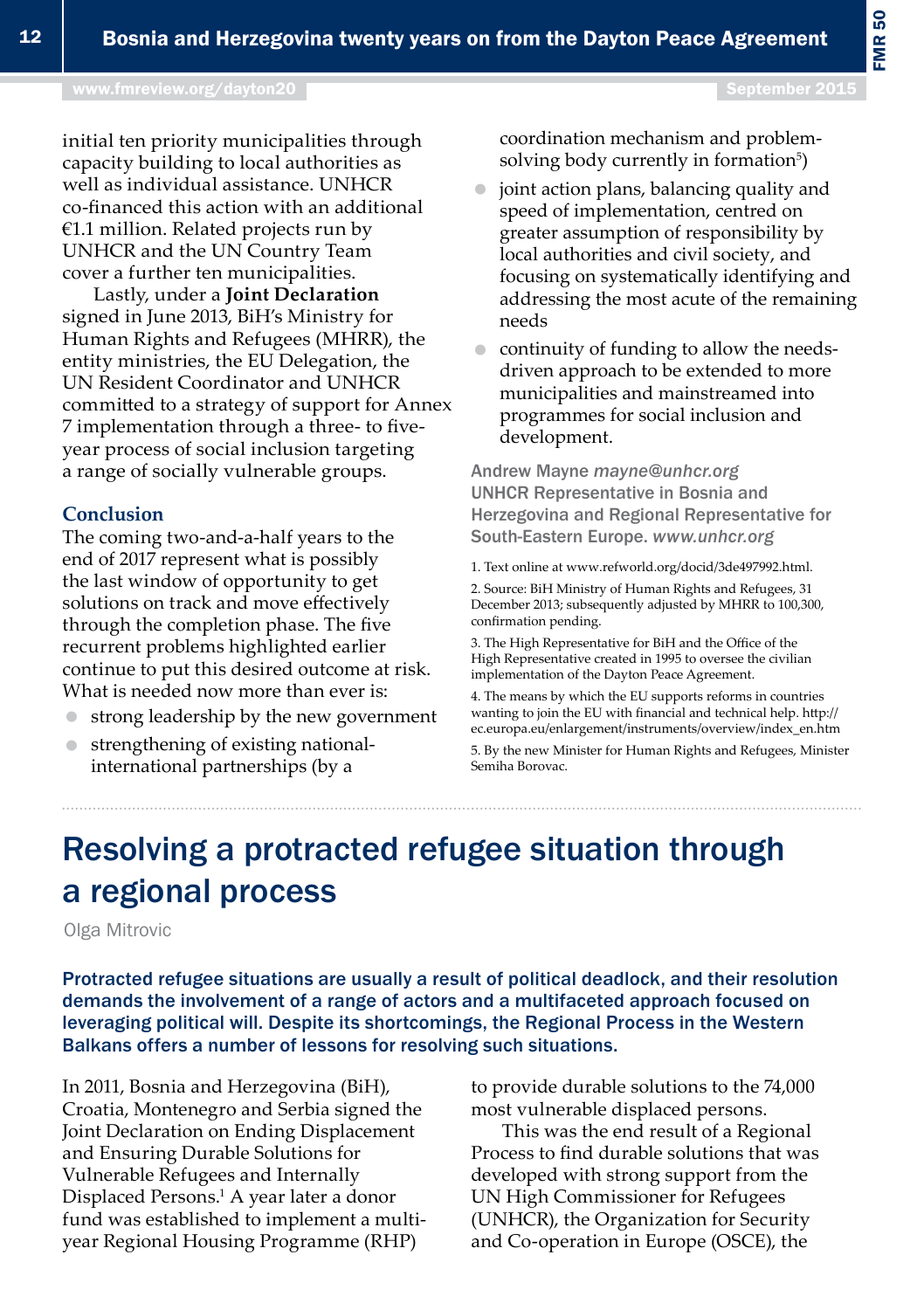# Resolving a protracted refugee situation through a regional process

Olga Mitrovic

Protracted refugee situations are usually a result of political deadlock, and their resolution demands the involvement of a range of actors and a multifaceted approach focused on leveraging political will. Despite its shortcomings, the Regional Process in the Western Balkans offers a number of lessons for resolving such situations.

In 2011, Bosnia and Herzegovina (BiH), Croatia, Montenegro and Serbia signed the Joint Declaration on Ending Displacement and Ensuring Durable Solutions for Vulnerable Refugees and Internally Displaced Persons.<sup>1</sup> A year later a donor fund was established to implement a multiyear Regional Housing Programme (RHP)

to provide durable solutions to the 74,000 most vulnerable displaced persons.

This was the end result of a Regional Process to find durable solutions that was developed with strong support from the UN High Commissioner for Refugees (UNHCR), the Organization for Security and Co-operation in Europe (OSCE), the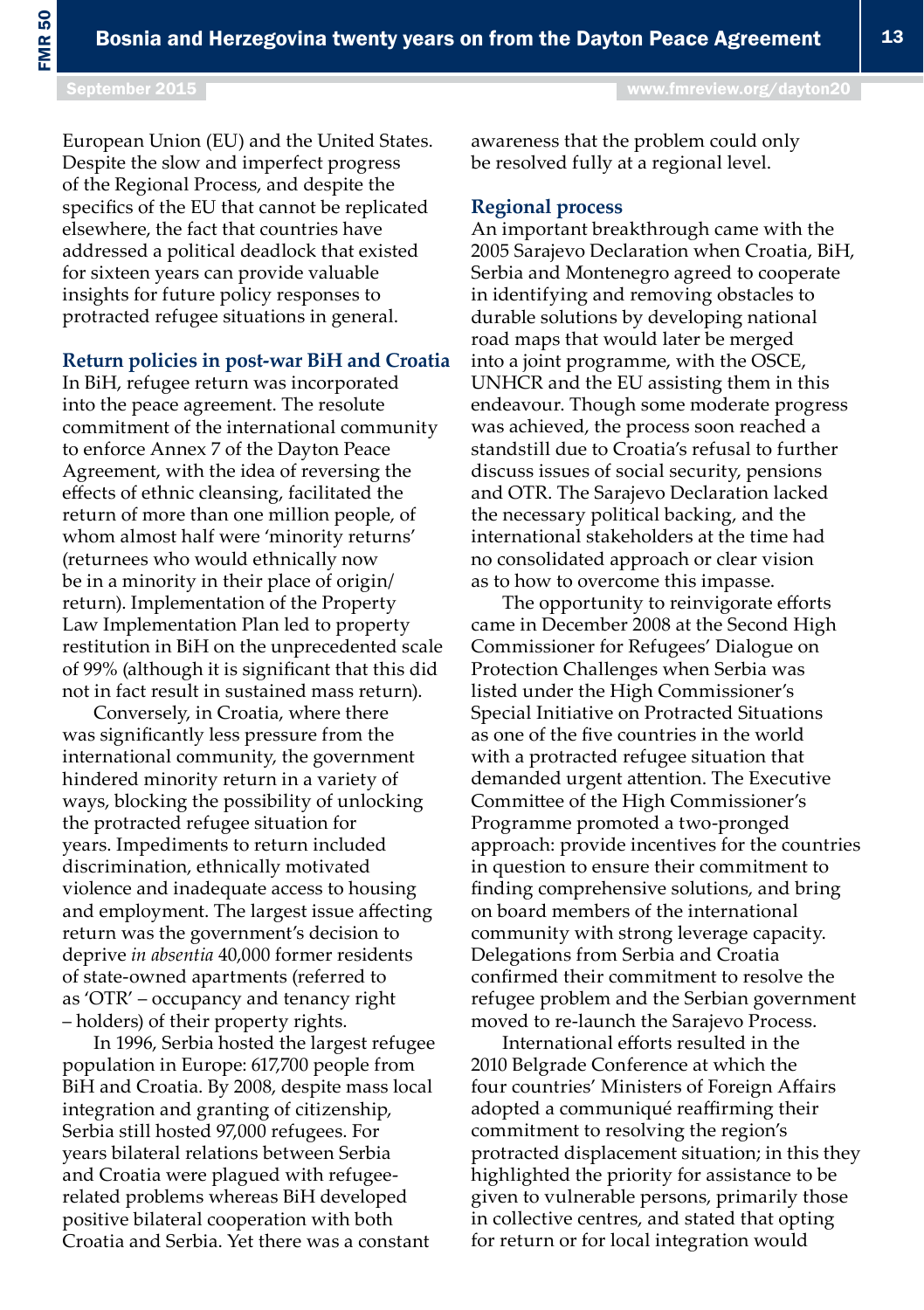FMR 50

European Union (EU) and the United States. Despite the slow and imperfect progress of the Regional Process, and despite the specifics of the EU that cannot be replicated elsewhere, the fact that countries have addressed a political deadlock that existed for sixteen years can provide valuable insights for future policy responses to protracted refugee situations in general.

#### **Return policies in post-war BiH and Croatia**

In BiH, refugee return was incorporated into the peace agreement. The resolute commitment of the international community to enforce Annex 7 of the Dayton Peace Agreement, with the idea of reversing the effects of ethnic cleansing, facilitated the return of more than one million people, of whom almost half were 'minority returns' (returnees who would ethnically now be in a minority in their place of origin/ return). Implementation of the Property Law Implementation Plan led to property restitution in BiH on the unprecedented scale of 99% (although it is significant that this did not in fact result in sustained mass return).

Conversely, in Croatia, where there was significantly less pressure from the international community, the government hindered minority return in a variety of ways, blocking the possibility of unlocking the protracted refugee situation for years. Impediments to return included discrimination, ethnically motivated violence and inadequate access to housing and employment. The largest issue affecting return was the government's decision to deprive *in absentia* 40,000 former residents of state-owned apartments (referred to as 'OTR' – occupancy and tenancy right – holders) of their property rights.

In 1996, Serbia hosted the largest refugee population in Europe: 617,700 people from BiH and Croatia. By 2008, despite mass local integration and granting of citizenship, Serbia still hosted 97,000 refugees. For years bilateral relations between Serbia and Croatia were plagued with refugeerelated problems whereas BiH developed positive bilateral cooperation with both Croatia and Serbia. Yet there was a constant

awareness that the problem could only be resolved fully at a regional level.

### **Regional process**

An important breakthrough came with the 2005 Sarajevo Declaration when Croatia, BiH, Serbia and Montenegro agreed to cooperate in identifying and removing obstacles to durable solutions by developing national road maps that would later be merged into a joint programme, with the OSCE, UNHCR and the EU assisting them in this endeavour. Though some moderate progress was achieved, the process soon reached a standstill due to Croatia's refusal to further discuss issues of social security, pensions and OTR. The Sarajevo Declaration lacked the necessary political backing, and the international stakeholders at the time had no consolidated approach or clear vision as to how to overcome this impasse.

The opportunity to reinvigorate efforts came in December 2008 at the Second High Commissioner for Refugees' Dialogue on Protection Challenges when Serbia was listed under the High Commissioner's Special Initiative on Protracted Situations as one of the five countries in the world with a protracted refugee situation that demanded urgent attention. The Executive Committee of the High Commissioner's Programme promoted a two-pronged approach: provide incentives for the countries in question to ensure their commitment to finding comprehensive solutions, and bring on board members of the international community with strong leverage capacity. Delegations from Serbia and Croatia confirmed their commitment to resolve the refugee problem and the Serbian government moved to re-launch the Sarajevo Process.

International efforts resulted in the 2010 Belgrade Conference at which the four countries' Ministers of Foreign Affairs adopted a communiqué reaffirming their commitment to resolving the region's protracted displacement situation; in this they highlighted the priority for assistance to be given to vulnerable persons, primarily those in collective centres, and stated that opting for return or for local integration would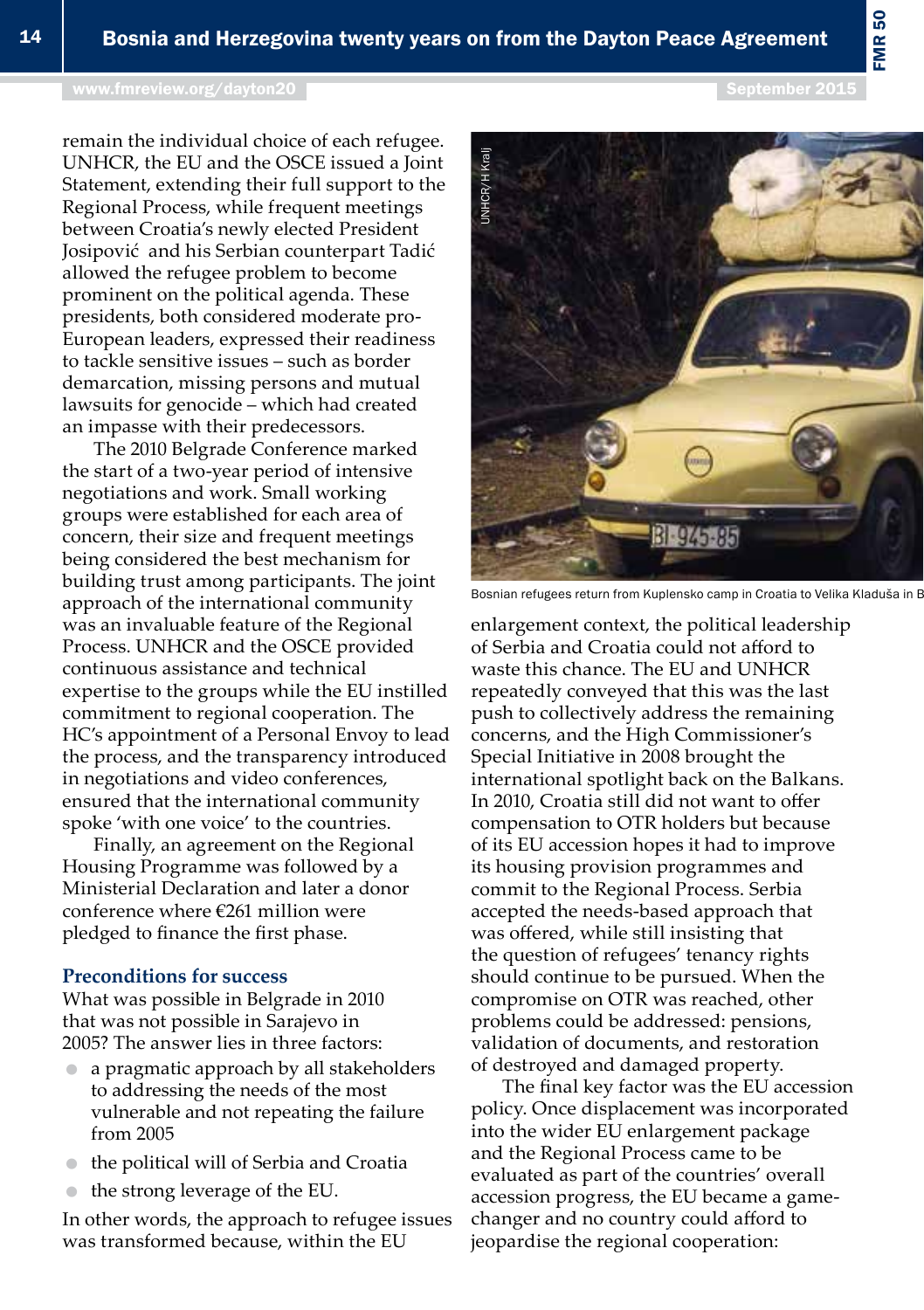### [www.fmreview.org/dayton20](http://www.fmreview.org/dayton20
) September 2015

remain the individual choice of each refugee. UNHCR, the EU and the OSCE issued a Joint Statement, extending their full support to the Regional Process, while frequent meetings between Croatia's newly elected President Josipović and his Serbian counterpart Tadić allowed the refugee problem to become prominent on the political agenda. These presidents, both considered moderate pro-European leaders, expressed their readiness to tackle sensitive issues – such as border demarcation, missing persons and mutual lawsuits for genocide – which had created an impasse with their predecessors.

The 2010 Belgrade Conference marked the start of a two-year period of intensive negotiations and work. Small working groups were established for each area of concern, their size and frequent meetings being considered the best mechanism for building trust among participants. The joint approach of the international community was an invaluable feature of the Regional Process. UNHCR and the OSCE provided continuous assistance and technical expertise to the groups while the EU instilled commitment to regional cooperation. The HC's appointment of a Personal Envoy to lead the process, and the transparency introduced in negotiations and video conferences, ensured that the international community spoke 'with one voice' to the countries.

Finally, an agreement on the Regional Housing Programme was followed by a Ministerial Declaration and later a donor conference where €261 million were pledged to finance the first phase.

## **Preconditions for success**

What was possible in Belgrade in 2010 that was not possible in Sarajevo in 2005? The answer lies in three factors:

- a pragmatic approach by all stakeholders to addressing the needs of the most vulnerable and not repeating the failure from 2005
- the political will of Serbia and Croatia
- **■** the strong leverage of the EU.

In other words, the approach to refugee issues was transformed because, within the EU

enlargement context, the political leadership of Serbia and Croatia could not afford to waste this chance. The EU and UNHCR repeatedly conveyed that this was the last push to collectively address the remaining concerns, and the High Commissioner's Special Initiative in 2008 brought the international spotlight back on the Balkans. In 2010, Croatia still did not want to offer compensation to OTR holders but because of its EU accession hopes it had to improve its housing provision programmes and commit to the Regional Process. Serbia accepted the needs-based approach that was offered, while still insisting that the question of refugees' tenancy rights should continue to be pursued. When the compromise on OTR was reached, other problems could be addressed: pensions, validation of documents, and restoration of destroyed and damaged property.

The final key factor was the EU accession policy. Once displacement was incorporated into the wider EU enlargement package and the Regional Process came to be evaluated as part of the countries' overall accession progress, the EU became a gamechanger and no country could afford to jeopardise the regional cooperation:



FMR 50